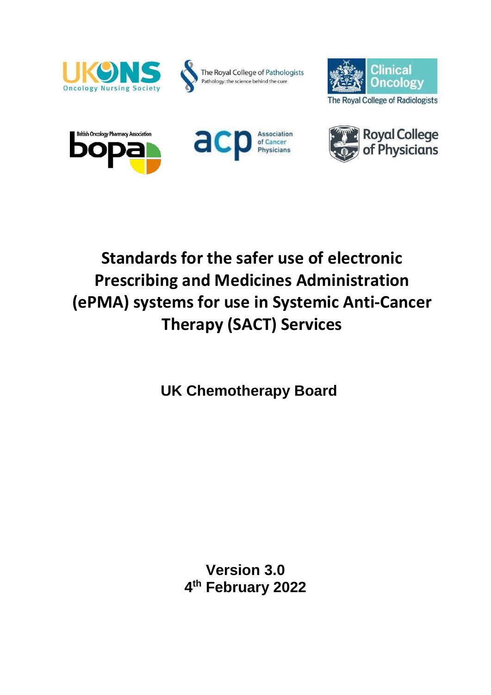











# **Standards for the safer use of electronic Prescribing and Medicines Administration (ePMA) systems for use in Systemic Anti-Cancer Therapy (SACT) Services**

**UK Chemotherapy Board**

**Version 3.0 4 th February 2022**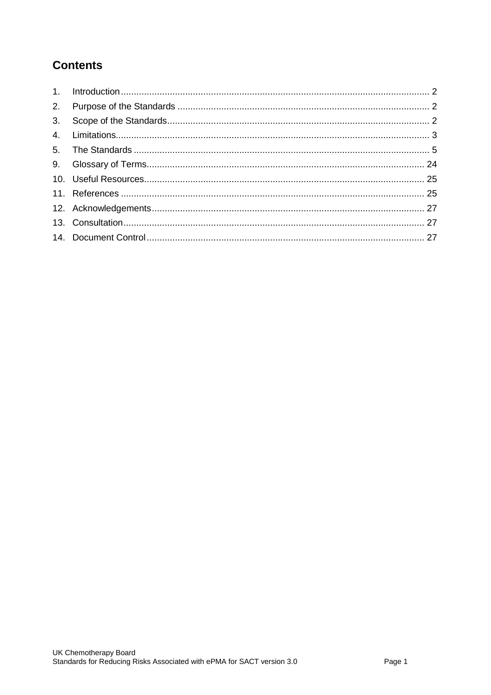# **Contents**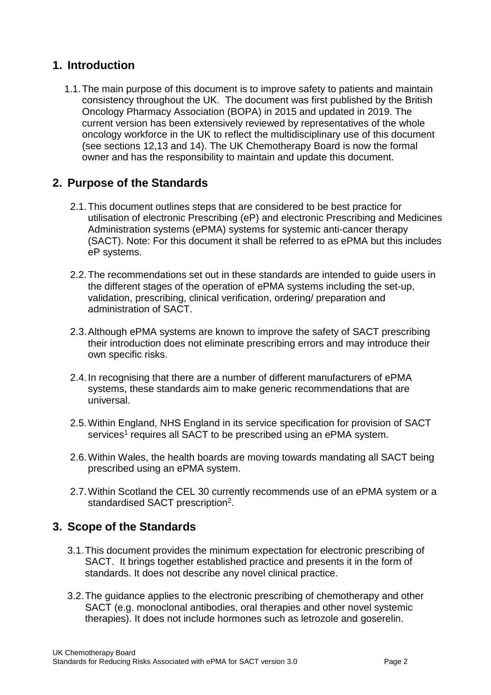# <span id="page-2-0"></span>**1. Introduction**

1.1.The main purpose of this document is to improve safety to patients and maintain consistency throughout the UK. The document was first published by the British Oncology Pharmacy Association (BOPA) in 2015 and updated in 2019. The current version has been extensively reviewed by representatives of the whole oncology workforce in the UK to reflect the multidisciplinary use of this document (see sections 12,13 and 14). The UK Chemotherapy Board is now the formal owner and has the responsibility to maintain and update this document.

# <span id="page-2-1"></span>**2. Purpose of the Standards**

- 2.1.This document outlines steps that are considered to be best practice for utilisation of electronic Prescribing (eP) and electronic Prescribing and Medicines Administration systems (ePMA) systems for systemic anti-cancer therapy (SACT). Note: For this document it shall be referred to as ePMA but this includes eP systems.
- 2.2.The recommendations set out in these standards are intended to guide users in the different stages of the operation of ePMA systems including the set-up, validation, prescribing, clinical verification, ordering/ preparation and administration of SACT.
- 2.3.Although ePMA systems are known to improve the safety of SACT prescribing their introduction does not eliminate prescribing errors and may introduce their own specific risks.
- 2.4.In recognising that there are a number of different manufacturers of ePMA systems, these standards aim to make generic recommendations that are universal.
- 2.5.Within England, NHS England in its service specification for provision of SACT services<sup>1</sup> requires all SACT to be prescribed using an ePMA system.
- 2.6.Within Wales, the health boards are moving towards mandating all SACT being prescribed using an ePMA system.
- 2.7.Within Scotland the CEL 30 currently recommends use of an ePMA system or a standardised SACT prescription<sup>2</sup>.

# <span id="page-2-2"></span>**3. Scope of the Standards**

- 3.1.This document provides the minimum expectation for electronic prescribing of SACT. It brings together established practice and presents it in the form of standards. It does not describe any novel clinical practice.
- 3.2.The guidance applies to the electronic prescribing of chemotherapy and other SACT (e.g. monoclonal antibodies, oral therapies and other novel systemic therapies). It does not include hormones such as letrozole and goserelin.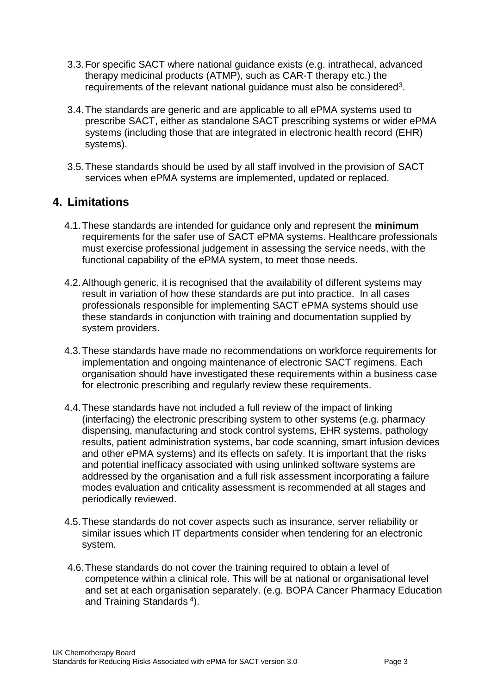- 3.3.For specific SACT where national guidance exists (e.g. intrathecal, advanced therapy medicinal products (ATMP), such as CAR-T therapy etc.) the requirements of the relevant national guidance must also be considered<sup>3</sup>.
- 3.4.The standards are generic and are applicable to all ePMA systems used to prescribe SACT, either as standalone SACT prescribing systems or wider ePMA systems (including those that are integrated in electronic health record (EHR) systems).
- 3.5.These standards should be used by all staff involved in the provision of SACT services when ePMA systems are implemented, updated or replaced.

# <span id="page-3-0"></span>**4. Limitations**

- 4.1.These standards are intended for guidance only and represent the **minimum** requirements for the safer use of SACT ePMA systems. Healthcare professionals must exercise professional judgement in assessing the service needs, with the functional capability of the ePMA system, to meet those needs.
- 4.2.Although generic, it is recognised that the availability of different systems may result in variation of how these standards are put into practice. In all cases professionals responsible for implementing SACT ePMA systems should use these standards in conjunction with training and documentation supplied by system providers.
- 4.3.These standards have made no recommendations on workforce requirements for implementation and ongoing maintenance of electronic SACT regimens. Each organisation should have investigated these requirements within a business case for electronic prescribing and regularly review these requirements.
- 4.4.These standards have not included a full review of the impact of linking (interfacing) the electronic prescribing system to other systems (e.g. pharmacy dispensing, manufacturing and stock control systems, EHR systems, pathology results, patient administration systems, bar code scanning, smart infusion devices and other ePMA systems) and its effects on safety. It is important that the risks and potential inefficacy associated with using unlinked software systems are addressed by the organisation and a full risk assessment incorporating a failure modes evaluation and criticality assessment is recommended at all stages and periodically reviewed.
- 4.5.These standards do not cover aspects such as insurance, server reliability or similar issues which IT departments consider when tendering for an electronic system.
- 4.6.These standards do not cover the training required to obtain a level of competence within a clinical role. This will be at national or organisational level and set at each organisation separately. (e.g. BOPA Cancer Pharmacy Education and Training Standards<sup>4</sup>).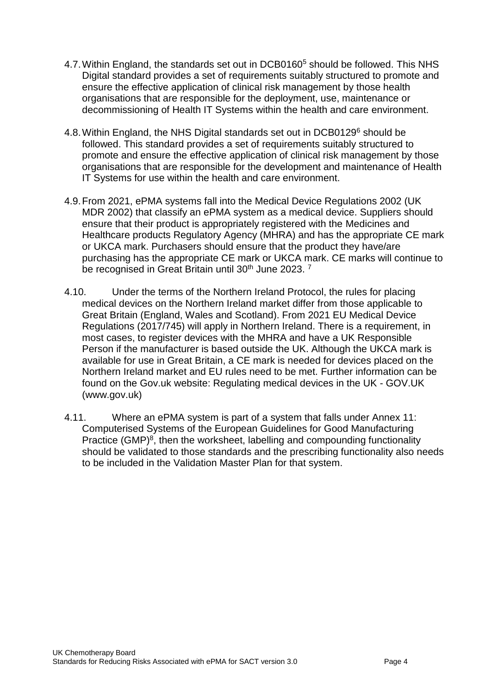- 4.7.Within England, the standards set out in DCB0160<sup>5</sup> should be followed. This NHS Digital standard provides a set of requirements suitably structured to promote and ensure the effective application of clinical risk management by those health organisations that are responsible for the deployment, use, maintenance or decommissioning of Health IT Systems within the health and care environment.
- 4.8. Within England, the NHS Digital standards set out in DCB0129<sup>6</sup> should be followed. This standard provides a set of requirements suitably structured to promote and ensure the effective application of clinical risk management by those organisations that are responsible for the development and maintenance of Health IT Systems for use within the health and care environment.
- 4.9.From 2021, ePMA systems fall into the Medical Device Regulations 2002 (UK MDR 2002) that classify an ePMA system as a medical device. Suppliers should ensure that their product is appropriately registered with the Medicines and Healthcare products Regulatory Agency (MHRA) and has the appropriate CE mark or UKCA mark. Purchasers should ensure that the product they have/are purchasing has the appropriate CE mark or UKCA mark. CE marks will continue to be recognised in Great Britain until 30<sup>th</sup> June 2023.<sup>7</sup>
- 4.10. Under the terms of the Northern Ireland Protocol, the rules for placing medical devices on the Northern Ireland market differ from those applicable to Great Britain (England, Wales and Scotland). From 2021 EU Medical Device Regulations (2017/745) will apply in Northern Ireland. There is a requirement, in most cases, to register devices with the MHRA and have a UK Responsible Person if the manufacturer is based outside the UK. Although the UKCA mark is available for use in Great Britain, a CE mark is needed for devices placed on the Northern Ireland market and EU rules need to be met. Further information can be found on the Gov.uk website: Regulating medical devices in the UK - GOV.UK (www.gov.uk)
- 4.11. Where an ePMA system is part of a system that falls under Annex 11: Computerised Systems of the European Guidelines for Good Manufacturing Practice (GMP)<sup>8</sup>, then the worksheet, labelling and compounding functionality should be validated to those standards and the prescribing functionality also needs to be included in the Validation Master Plan for that system.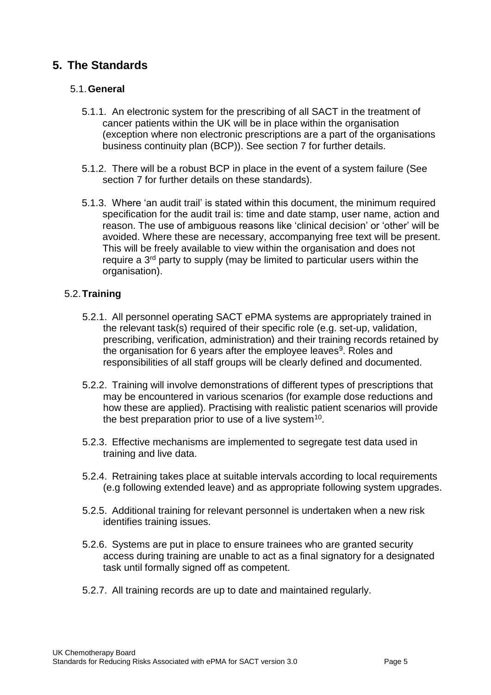# <span id="page-5-0"></span>**5. The Standards**

## 5.1.**General**

- 5.1.1. An electronic system for the prescribing of all SACT in the treatment of cancer patients within the UK will be in place within the organisation (exception where non electronic prescriptions are a part of the organisations business continuity plan (BCP)). See section 7 for further details.
- 5.1.2. There will be a robust BCP in place in the event of a system failure (See section 7 for further details on these standards).
- 5.1.3. Where 'an audit trail' is stated within this document, the minimum required specification for the audit trail is: time and date stamp, user name, action and reason. The use of ambiguous reasons like 'clinical decision' or 'other' will be avoided. Where these are necessary, accompanying free text will be present. This will be freely available to view within the organisation and does not require a 3<sup>rd</sup> party to supply (may be limited to particular users within the organisation).

## 5.2.**Training**

- 5.2.1. All personnel operating SACT ePMA systems are appropriately trained in the relevant task(s) required of their specific role (e.g. set-up, validation, prescribing, verification, administration) and their training records retained by the organisation for 6 years after the employee leaves<sup>9</sup>. Roles and responsibilities of all staff groups will be clearly defined and documented.
- 5.2.2. Training will involve demonstrations of different types of prescriptions that may be encountered in various scenarios (for example dose reductions and how these are applied). Practising with realistic patient scenarios will provide the best preparation prior to use of a live system<sup>10</sup>.
- 5.2.3. Effective mechanisms are implemented to segregate test data used in training and live data.
- 5.2.4. Retraining takes place at suitable intervals according to local requirements (e.g following extended leave) and as appropriate following system upgrades.
- 5.2.5. Additional training for relevant personnel is undertaken when a new risk identifies training issues.
- 5.2.6. Systems are put in place to ensure trainees who are granted security access during training are unable to act as a final signatory for a designated task until formally signed off as competent.
- 5.2.7. All training records are up to date and maintained regularly.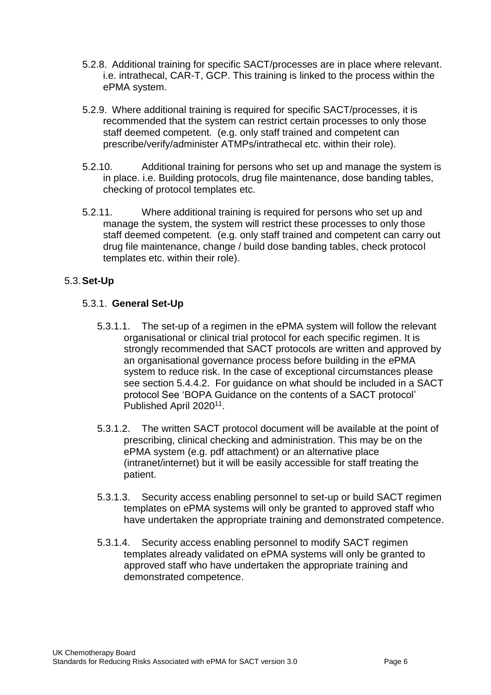- 5.2.8. Additional training for specific SACT/processes are in place where relevant. i.e. intrathecal, CAR-T, GCP. This training is linked to the process within the ePMA system.
- 5.2.9. Where additional training is required for specific SACT/processes, it is recommended that the system can restrict certain processes to only those staff deemed competent. (e.g. only staff trained and competent can prescribe/verify/administer ATMPs/intrathecal etc. within their role).
- 5.2.10. Additional training for persons who set up and manage the system is in place. i.e. Building protocols, drug file maintenance, dose banding tables, checking of protocol templates etc.
- 5.2.11. Where additional training is required for persons who set up and manage the system, the system will restrict these processes to only those staff deemed competent. (e.g. only staff trained and competent can carry out drug file maintenance, change / build dose banding tables, check protocol templates etc. within their role).

## 5.3.**Set-Up**

## 5.3.1. **General Set-Up**

- 5.3.1.1. The set-up of a regimen in the ePMA system will follow the relevant organisational or clinical trial protocol for each specific regimen. It is strongly recommended that SACT protocols are written and approved by an organisational governance process before building in the ePMA system to reduce risk. In the case of exceptional circumstances please see section 5.4.4.2. For guidance on what should be included in a SACT protocol See 'BOPA Guidance on the contents of a SACT protocol' Published April 2020<sup>11</sup>.
- 5.3.1.2. The written SACT protocol document will be available at the point of prescribing, clinical checking and administration. This may be on the ePMA system (e.g. pdf attachment) or an alternative place (intranet/internet) but it will be easily accessible for staff treating the patient.
- 5.3.1.3. Security access enabling personnel to set-up or build SACT regimen templates on ePMA systems will only be granted to approved staff who have undertaken the appropriate training and demonstrated competence.
- 5.3.1.4. Security access enabling personnel to modify SACT regimen templates already validated on ePMA systems will only be granted to approved staff who have undertaken the appropriate training and demonstrated competence.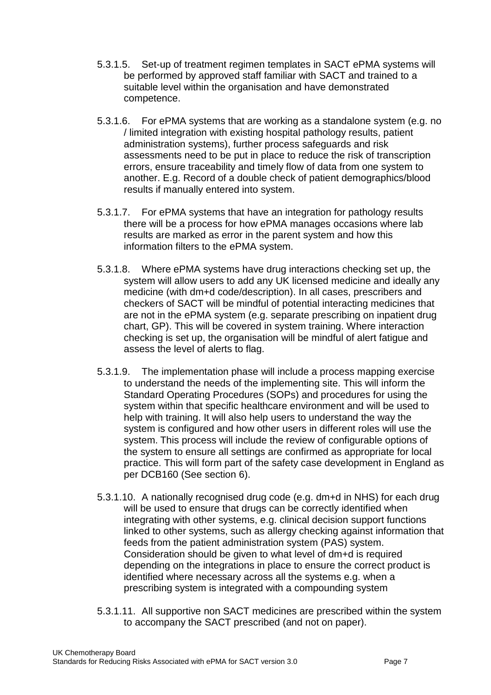- 5.3.1.5. Set-up of treatment regimen templates in SACT ePMA systems will be performed by approved staff familiar with SACT and trained to a suitable level within the organisation and have demonstrated competence.
- 5.3.1.6. For ePMA systems that are working as a standalone system (e.g. no / limited integration with existing hospital pathology results, patient administration systems), further process safeguards and risk assessments need to be put in place to reduce the risk of transcription errors, ensure traceability and timely flow of data from one system to another. E.g. Record of a double check of patient demographics/blood results if manually entered into system.
- 5.3.1.7. For ePMA systems that have an integration for pathology results there will be a process for how ePMA manages occasions where lab results are marked as error in the parent system and how this information filters to the ePMA system.
- 5.3.1.8. Where ePMA systems have drug interactions checking set up, the system will allow users to add any UK licensed medicine and ideally any medicine (with dm+d code/description). In all cases, prescribers and checkers of SACT will be mindful of potential interacting medicines that are not in the ePMA system (e.g. separate prescribing on inpatient drug chart, GP). This will be covered in system training. Where interaction checking is set up, the organisation will be mindful of alert fatigue and assess the level of alerts to flag.
- 5.3.1.9. The implementation phase will include a process mapping exercise to understand the needs of the implementing site. This will inform the Standard Operating Procedures (SOPs) and procedures for using the system within that specific healthcare environment and will be used to help with training. It will also help users to understand the way the system is configured and how other users in different roles will use the system. This process will include the review of configurable options of the system to ensure all settings are confirmed as appropriate for local practice. This will form part of the safety case development in England as per DCB160 (See section 6).
- 5.3.1.10. A nationally recognised drug code (e.g. dm+d in NHS) for each drug will be used to ensure that drugs can be correctly identified when integrating with other systems, e.g. clinical decision support functions linked to other systems, such as allergy checking against information that feeds from the patient administration system (PAS) system. Consideration should be given to what level of dm+d is required depending on the integrations in place to ensure the correct product is identified where necessary across all the systems e.g. when a prescribing system is integrated with a compounding system
- 5.3.1.11. All supportive non SACT medicines are prescribed within the system to accompany the SACT prescribed (and not on paper).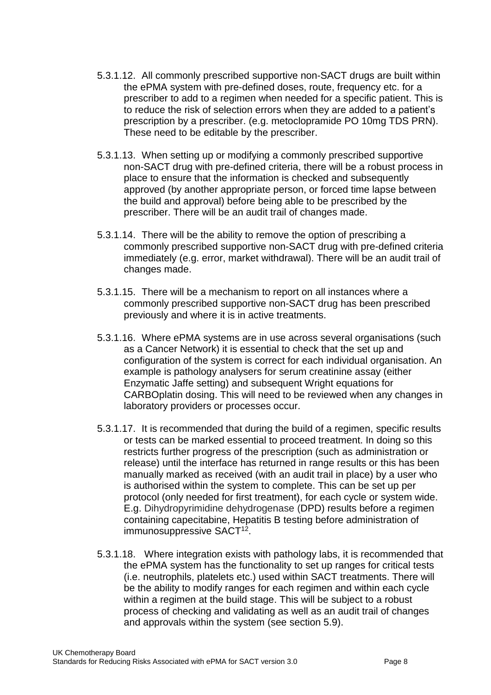- 5.3.1.12. All commonly prescribed supportive non-SACT drugs are built within the ePMA system with pre-defined doses, route, frequency etc. for a prescriber to add to a regimen when needed for a specific patient. This is to reduce the risk of selection errors when they are added to a patient's prescription by a prescriber. (e.g. metoclopramide PO 10mg TDS PRN). These need to be editable by the prescriber.
- 5.3.1.13. When setting up or modifying a commonly prescribed supportive non-SACT drug with pre-defined criteria, there will be a robust process in place to ensure that the information is checked and subsequently approved (by another appropriate person, or forced time lapse between the build and approval) before being able to be prescribed by the prescriber. There will be an audit trail of changes made.
- 5.3.1.14. There will be the ability to remove the option of prescribing a commonly prescribed supportive non-SACT drug with pre-defined criteria immediately (e.g. error, market withdrawal). There will be an audit trail of changes made.
- 5.3.1.15. There will be a mechanism to report on all instances where a commonly prescribed supportive non-SACT drug has been prescribed previously and where it is in active treatments.
- 5.3.1.16. Where ePMA systems are in use across several organisations (such as a Cancer Network) it is essential to check that the set up and configuration of the system is correct for each individual organisation. An example is pathology analysers for serum creatinine assay (either Enzymatic Jaffe setting) and subsequent Wright equations for CARBOplatin dosing. This will need to be reviewed when any changes in laboratory providers or processes occur.
- 5.3.1.17. It is recommended that during the build of a regimen, specific results or tests can be marked essential to proceed treatment. In doing so this restricts further progress of the prescription (such as administration or release) until the interface has returned in range results or this has been manually marked as received (with an audit trail in place) by a user who is authorised within the system to complete. This can be set up per protocol (only needed for first treatment), for each cycle or system wide. E.g. Dihydropyrimidine dehydrogenase (DPD) results before a regimen containing capecitabine, Hepatitis B testing before administration of immunosuppressive SACT<sup>12</sup>.
- 5.3.1.18. Where integration exists with pathology labs, it is recommended that the ePMA system has the functionality to set up ranges for critical tests (i.e. neutrophils, platelets etc.) used within SACT treatments. There will be the ability to modify ranges for each regimen and within each cycle within a regimen at the build stage. This will be subject to a robust process of checking and validating as well as an audit trail of changes and approvals within the system (see section 5.9).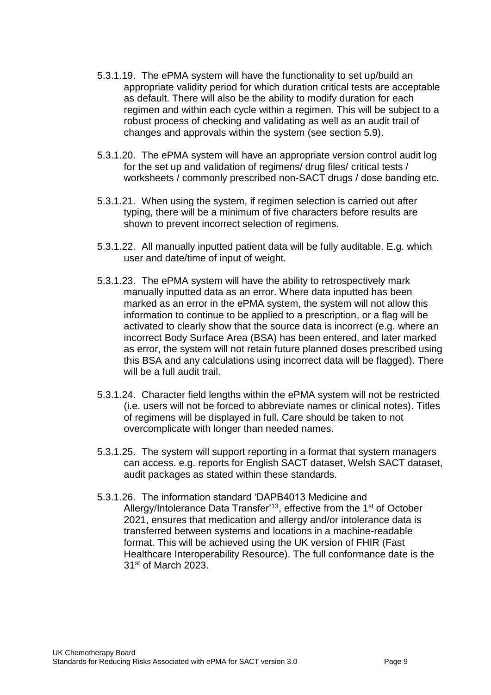- 5.3.1.19. The ePMA system will have the functionality to set up/build an appropriate validity period for which duration critical tests are acceptable as default. There will also be the ability to modify duration for each regimen and within each cycle within a regimen. This will be subject to a robust process of checking and validating as well as an audit trail of changes and approvals within the system (see section 5.9).
- 5.3.1.20. The ePMA system will have an appropriate version control audit log for the set up and validation of regimens/ drug files/ critical tests / worksheets / commonly prescribed non-SACT drugs / dose banding etc.
- 5.3.1.21. When using the system, if regimen selection is carried out after typing, there will be a minimum of five characters before results are shown to prevent incorrect selection of regimens.
- 5.3.1.22. All manually inputted patient data will be fully auditable. E.g. which user and date/time of input of weight.
- 5.3.1.23. The ePMA system will have the ability to retrospectively mark manually inputted data as an error. Where data inputted has been marked as an error in the ePMA system, the system will not allow this information to continue to be applied to a prescription, or a flag will be activated to clearly show that the source data is incorrect (e.g. where an incorrect Body Surface Area (BSA) has been entered, and later marked as error, the system will not retain future planned doses prescribed using this BSA and any calculations using incorrect data will be flagged). There will be a full audit trail.
- 5.3.1.24. Character field lengths within the ePMA system will not be restricted (i.e. users will not be forced to abbreviate names or clinical notes). Titles of regimens will be displayed in full. Care should be taken to not overcomplicate with longer than needed names.
- 5.3.1.25. The system will support reporting in a format that system managers can access. e.g. reports for English SACT dataset, Welsh SACT dataset, audit packages as stated within these standards.
- 5.3.1.26. The information standard 'DAPB4013 Medicine and Allergy/Intolerance Data Transfer<sup>13</sup>, effective from the 1<sup>st</sup> of October 2021, ensures that medication and allergy and/or intolerance data is transferred between systems and locations in a machine-readable format. This will be achieved using the UK version of FHIR (Fast Healthcare Interoperability Resource). The full conformance date is the 31st of March 2023.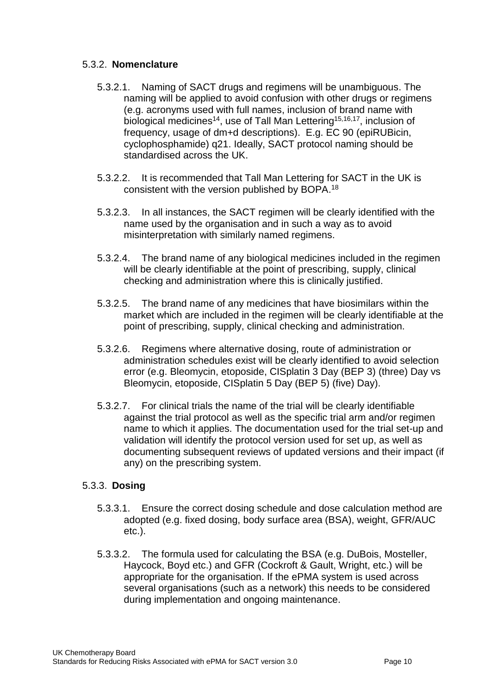## 5.3.2. **Nomenclature**

- 5.3.2.1. Naming of SACT drugs and regimens will be unambiguous. The naming will be applied to avoid confusion with other drugs or regimens (e.g. acronyms used with full names, inclusion of brand name with biological medicines<sup>14</sup>, use of Tall Man Lettering<sup>15,16,17</sup>, inclusion of frequency, usage of dm+d descriptions). E.g. EC 90 (epiRUBicin, cyclophosphamide) q21. Ideally, SACT protocol naming should be standardised across the UK.
- 5.3.2.2. It is recommended that Tall Man Lettering for SACT in the UK is consistent with the version published by BOPA.<sup>18</sup>
- 5.3.2.3. In all instances, the SACT regimen will be clearly identified with the name used by the organisation and in such a way as to avoid misinterpretation with similarly named regimens.
- 5.3.2.4. The brand name of any biological medicines included in the regimen will be clearly identifiable at the point of prescribing, supply, clinical checking and administration where this is clinically justified.
- 5.3.2.5. The brand name of any medicines that have biosimilars within the market which are included in the regimen will be clearly identifiable at the point of prescribing, supply, clinical checking and administration.
- 5.3.2.6. Regimens where alternative dosing, route of administration or administration schedules exist will be clearly identified to avoid selection error (e.g. Bleomycin, etoposide, CISplatin 3 Day (BEP 3) (three) Day vs Bleomycin, etoposide, CISplatin 5 Day (BEP 5) (five) Day).
- 5.3.2.7. For clinical trials the name of the trial will be clearly identifiable against the trial protocol as well as the specific trial arm and/or regimen name to which it applies. The documentation used for the trial set-up and validation will identify the protocol version used for set up, as well as documenting subsequent reviews of updated versions and their impact (if any) on the prescribing system.

#### 5.3.3. **Dosing**

- 5.3.3.1. Ensure the correct dosing schedule and dose calculation method are adopted (e.g. fixed dosing, body surface area (BSA), weight, GFR/AUC etc.).
- 5.3.3.2. The formula used for calculating the BSA (e.g. DuBois, Mosteller, Haycock, Boyd etc.) and GFR (Cockroft & Gault, Wright, etc.) will be appropriate for the organisation. If the ePMA system is used across several organisations (such as a network) this needs to be considered during implementation and ongoing maintenance.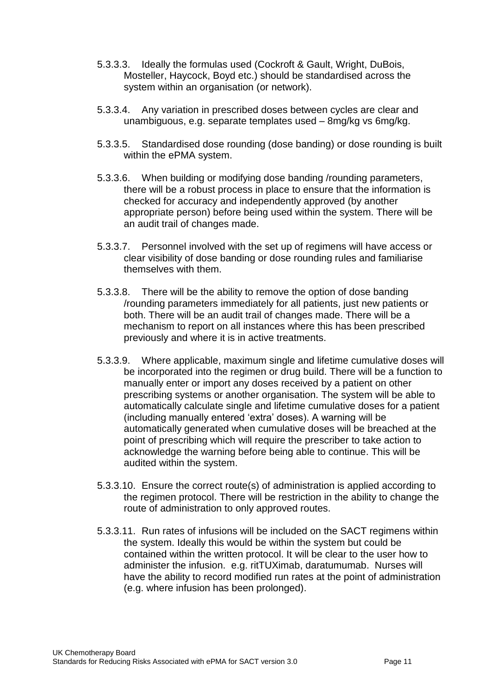- 5.3.3.3. Ideally the formulas used (Cockroft & Gault, Wright, DuBois, Mosteller, Haycock, Boyd etc.) should be standardised across the system within an organisation (or network).
- 5.3.3.4. Any variation in prescribed doses between cycles are clear and unambiguous, e.g. separate templates used – 8mg/kg vs 6mg/kg.
- 5.3.3.5. Standardised dose rounding (dose banding) or dose rounding is built within the ePMA system.
- 5.3.3.6. When building or modifying dose banding /rounding parameters, there will be a robust process in place to ensure that the information is checked for accuracy and independently approved (by another appropriate person) before being used within the system. There will be an audit trail of changes made.
- 5.3.3.7. Personnel involved with the set up of regimens will have access or clear visibility of dose banding or dose rounding rules and familiarise themselves with them.
- 5.3.3.8. There will be the ability to remove the option of dose banding /rounding parameters immediately for all patients, just new patients or both. There will be an audit trail of changes made. There will be a mechanism to report on all instances where this has been prescribed previously and where it is in active treatments.
- 5.3.3.9. Where applicable, maximum single and lifetime cumulative doses will be incorporated into the regimen or drug build. There will be a function to manually enter or import any doses received by a patient on other prescribing systems or another organisation. The system will be able to automatically calculate single and lifetime cumulative doses for a patient (including manually entered 'extra' doses). A warning will be automatically generated when cumulative doses will be breached at the point of prescribing which will require the prescriber to take action to acknowledge the warning before being able to continue. This will be audited within the system.
- 5.3.3.10. Ensure the correct route(s) of administration is applied according to the regimen protocol. There will be restriction in the ability to change the route of administration to only approved routes.
- 5.3.3.11. Run rates of infusions will be included on the SACT regimens within the system. Ideally this would be within the system but could be contained within the written protocol. It will be clear to the user how to administer the infusion. e.g. ritTUXimab, daratumumab. Nurses will have the ability to record modified run rates at the point of administration (e.g. where infusion has been prolonged).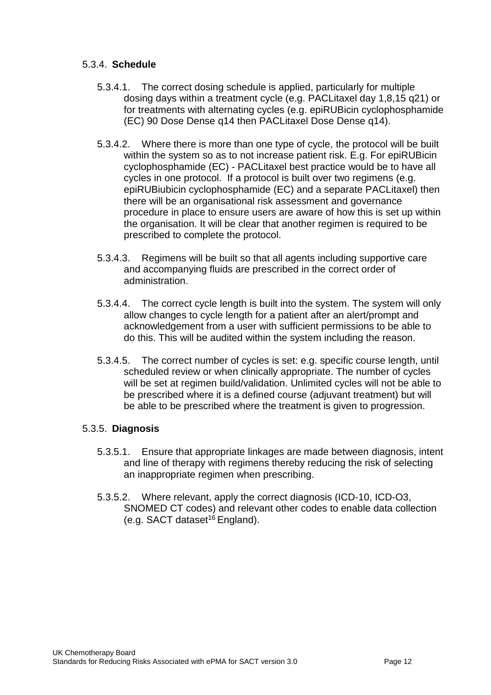## 5.3.4. **Schedule**

- 5.3.4.1. The correct dosing schedule is applied, particularly for multiple dosing days within a treatment cycle (e.g. PACLitaxel day 1,8,15 q21) or for treatments with alternating cycles (e.g. epiRUBicin cyclophosphamide (EC) 90 Dose Dense q14 then PACLitaxel Dose Dense q14).
- 5.3.4.2. Where there is more than one type of cycle, the protocol will be built within the system so as to not increase patient risk. E.g. For epiRUBicin cyclophosphamide (EC) - PACLitaxel best practice would be to have all cycles in one protocol. If a protocol is built over two regimens (e.g. epiRUBiubicin cyclophosphamide (EC) and a separate PACLitaxel) then there will be an organisational risk assessment and governance procedure in place to ensure users are aware of how this is set up within the organisation. It will be clear that another regimen is required to be prescribed to complete the protocol.
- 5.3.4.3. Regimens will be built so that all agents including supportive care and accompanying fluids are prescribed in the correct order of administration.
- 5.3.4.4. The correct cycle length is built into the system. The system will only allow changes to cycle length for a patient after an alert/prompt and acknowledgement from a user with sufficient permissions to be able to do this. This will be audited within the system including the reason.
- 5.3.4.5. The correct number of cycles is set: e.g. specific course length, until scheduled review or when clinically appropriate. The number of cycles will be set at regimen build/validation. Unlimited cycles will not be able to be prescribed where it is a defined course (adjuvant treatment) but will be able to be prescribed where the treatment is given to progression.

#### 5.3.5. **Diagnosis**

- 5.3.5.1. Ensure that appropriate linkages are made between diagnosis, intent and line of therapy with regimens thereby reducing the risk of selecting an inappropriate regimen when prescribing.
- 5.3.5.2. Where relevant, apply the correct diagnosis (ICD-10, ICD-O3, SNOMED CT codes) and relevant other codes to enable data collection (e.g. SACT dataset<sup>16</sup> England).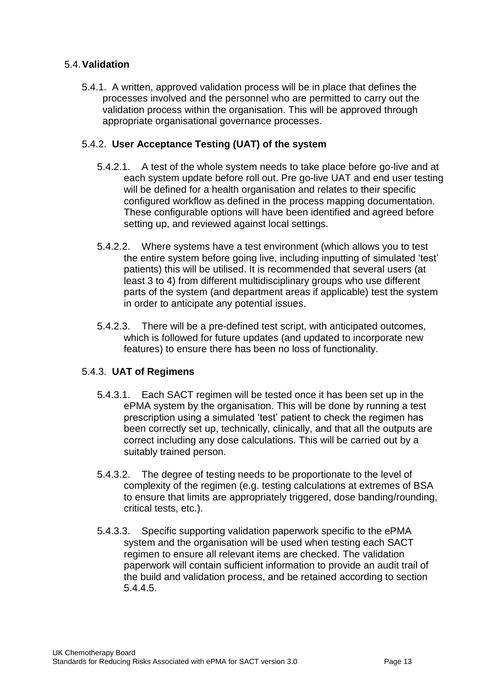## 5.4.**Validation**

5.4.1. A written, approved validation process will be in place that defines the processes involved and the personnel who are permitted to carry out the validation process within the organisation. This will be approved through appropriate organisational governance processes.

## 5.4.2. **User Acceptance Testing (UAT) of the system**

- 5.4.2.1. A test of the whole system needs to take place before go-live and at each system update before roll out. Pre go-live UAT and end user testing will be defined for a health organisation and relates to their specific configured workflow as defined in the process mapping documentation. These configurable options will have been identified and agreed before setting up, and reviewed against local settings.
- 5.4.2.2. Where systems have a test environment (which allows you to test the entire system before going live, including inputting of simulated 'test' patients) this will be utilised. It is recommended that several users (at least 3 to 4) from different multidisciplinary groups who use different parts of the system (and department areas if applicable) test the system in order to anticipate any potential issues.
- 5.4.2.3. There will be a pre-defined test script, with anticipated outcomes, which is followed for future updates (and updated to incorporate new features) to ensure there has been no loss of functionality.

## 5.4.3. **UAT of Regimens**

- 5.4.3.1. Each SACT regimen will be tested once it has been set up in the ePMA system by the organisation. This will be done by running a test prescription using a simulated 'test' patient to check the regimen has been correctly set up, technically, clinically, and that all the outputs are correct including any dose calculations. This will be carried out by a suitably trained person.
- 5.4.3.2. The degree of testing needs to be proportionate to the level of complexity of the regimen (e.g. testing calculations at extremes of BSA to ensure that limits are appropriately triggered, dose banding/rounding, critical tests, etc.).
- 5.4.3.3. Specific supporting validation paperwork specific to the ePMA system and the organisation will be used when testing each SACT regimen to ensure all relevant items are checked. The validation paperwork will contain sufficient information to provide an audit trail of the build and validation process, and be retained according to section 5.4.4.5.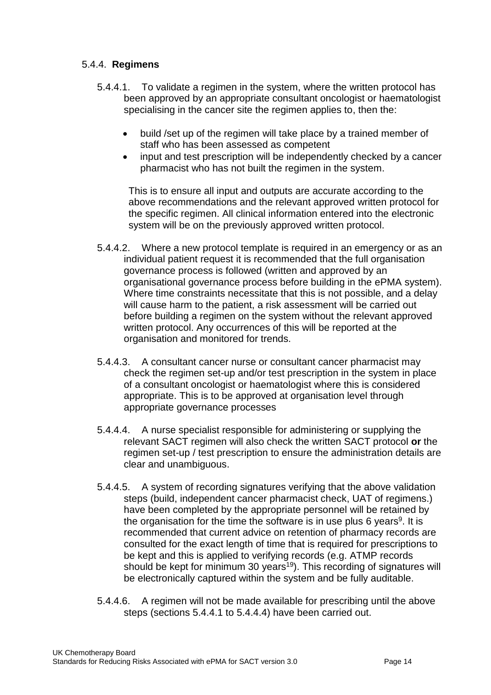## 5.4.4. **Regimens**

- 5.4.4.1. To validate a regimen in the system, where the written protocol has been approved by an appropriate consultant oncologist or haematologist specialising in the cancer site the regimen applies to, then the:
	- build /set up of the regimen will take place by a trained member of staff who has been assessed as competent
	- input and test prescription will be independently checked by a cancer pharmacist who has not built the regimen in the system.

This is to ensure all input and outputs are accurate according to the above recommendations and the relevant approved written protocol for the specific regimen. All clinical information entered into the electronic system will be on the previously approved written protocol.

- 5.4.4.2. Where a new protocol template is required in an emergency or as an individual patient request it is recommended that the full organisation governance process is followed (written and approved by an organisational governance process before building in the ePMA system). Where time constraints necessitate that this is not possible, and a delay will cause harm to the patient, a risk assessment will be carried out before building a regimen on the system without the relevant approved written protocol. Any occurrences of this will be reported at the organisation and monitored for trends.
- 5.4.4.3. A consultant cancer nurse or consultant cancer pharmacist may check the regimen set-up and/or test prescription in the system in place of a consultant oncologist or haematologist where this is considered appropriate. This is to be approved at organisation level through appropriate governance processes
- 5.4.4.4. A nurse specialist responsible for administering or supplying the relevant SACT regimen will also check the written SACT protocol **or** the regimen set-up / test prescription to ensure the administration details are clear and unambiguous.
- 5.4.4.5. A system of recording signatures verifying that the above validation steps (build, independent cancer pharmacist check, UAT of regimens.) have been completed by the appropriate personnel will be retained by the organisation for the time the software is in use plus 6 years<sup>9</sup>. It is recommended that current advice on retention of pharmacy records are consulted for the exact length of time that is required for prescriptions to be kept and this is applied to verifying records (e.g. ATMP records should be kept for minimum 30 years<sup>19</sup>). This recording of signatures will be electronically captured within the system and be fully auditable.
- 5.4.4.6. A regimen will not be made available for prescribing until the above steps (sections 5.4.4.1 to 5.4.4.4) have been carried out.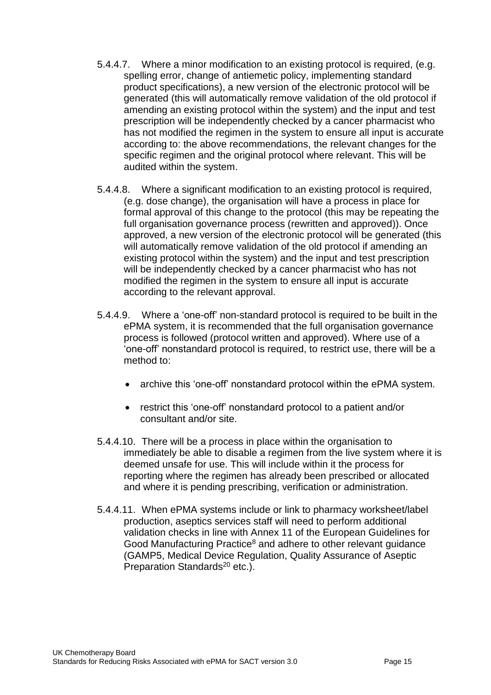- 5.4.4.7. Where a minor modification to an existing protocol is required, (e.g. spelling error, change of antiemetic policy, implementing standard product specifications), a new version of the electronic protocol will be generated (this will automatically remove validation of the old protocol if amending an existing protocol within the system) and the input and test prescription will be independently checked by a cancer pharmacist who has not modified the regimen in the system to ensure all input is accurate according to: the above recommendations, the relevant changes for the specific regimen and the original protocol where relevant. This will be audited within the system.
- 5.4.4.8. Where a significant modification to an existing protocol is required, (e.g. dose change), the organisation will have a process in place for formal approval of this change to the protocol (this may be repeating the full organisation governance process (rewritten and approved)). Once approved, a new version of the electronic protocol will be generated (this will automatically remove validation of the old protocol if amending an existing protocol within the system) and the input and test prescription will be independently checked by a cancer pharmacist who has not modified the regimen in the system to ensure all input is accurate according to the relevant approval.
- 5.4.4.9. Where a 'one-off' non-standard protocol is required to be built in the ePMA system, it is recommended that the full organisation governance process is followed (protocol written and approved). Where use of a 'one-off' nonstandard protocol is required, to restrict use, there will be a method to:
	- archive this 'one-off' nonstandard protocol within the ePMA system.
	- restrict this 'one-off' nonstandard protocol to a patient and/or consultant and/or site.
- 5.4.4.10. There will be a process in place within the organisation to immediately be able to disable a regimen from the live system where it is deemed unsafe for use. This will include within it the process for reporting where the regimen has already been prescribed or allocated and where it is pending prescribing, verification or administration.
- 5.4.4.11. When ePMA systems include or link to pharmacy worksheet/label production, aseptics services staff will need to perform additional validation checks in line with Annex 11 of the European Guidelines for Good Manufacturing Practice<sup>8</sup> and adhere to other relevant guidance (GAMP5, Medical Device Regulation, Quality Assurance of Aseptic Preparation Standards<sup>20</sup> etc.).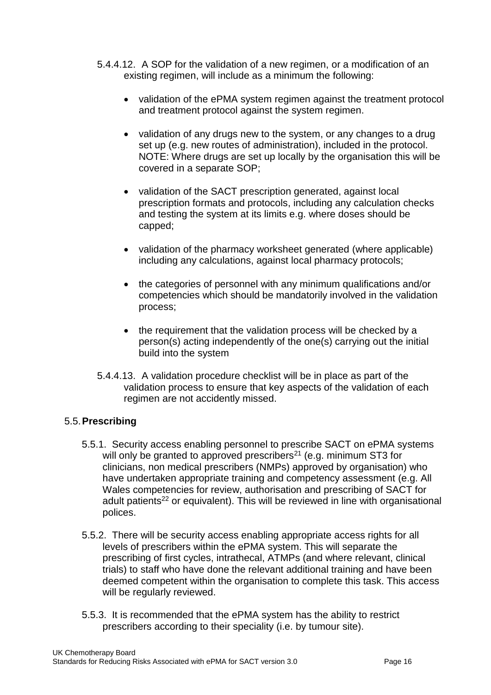- 5.4.4.12. A SOP for the validation of a new regimen, or a modification of an existing regimen, will include as a minimum the following:
	- validation of the ePMA system regimen against the treatment protocol and treatment protocol against the system regimen.
	- validation of any drugs new to the system, or any changes to a drug set up (e.g. new routes of administration), included in the protocol. NOTE: Where drugs are set up locally by the organisation this will be covered in a separate SOP;
	- validation of the SACT prescription generated, against local prescription formats and protocols, including any calculation checks and testing the system at its limits e.g. where doses should be capped;
	- validation of the pharmacy worksheet generated (where applicable) including any calculations, against local pharmacy protocols;
	- the categories of personnel with any minimum qualifications and/or competencies which should be mandatorily involved in the validation process;
	- the requirement that the validation process will be checked by a person(s) acting independently of the one(s) carrying out the initial build into the system
- 5.4.4.13. A validation procedure checklist will be in place as part of the validation process to ensure that key aspects of the validation of each regimen are not accidently missed.

## 5.5.**Prescribing**

- 5.5.1. Security access enabling personnel to prescribe SACT on ePMA systems will only be granted to approved prescribers<sup>21</sup> (e.g. minimum ST3 for clinicians, non medical prescribers (NMPs) approved by organisation) who have undertaken appropriate training and competency assessment (e.g. All Wales competencies for review, authorisation and prescribing of SACT for adult patients<sup>22</sup> or equivalent). This will be reviewed in line with organisational polices.
- 5.5.2. There will be security access enabling appropriate access rights for all levels of prescribers within the ePMA system. This will separate the prescribing of first cycles, intrathecal, ATMPs (and where relevant, clinical trials) to staff who have done the relevant additional training and have been deemed competent within the organisation to complete this task. This access will be regularly reviewed.
- 5.5.3. It is recommended that the ePMA system has the ability to restrict prescribers according to their speciality (i.e. by tumour site).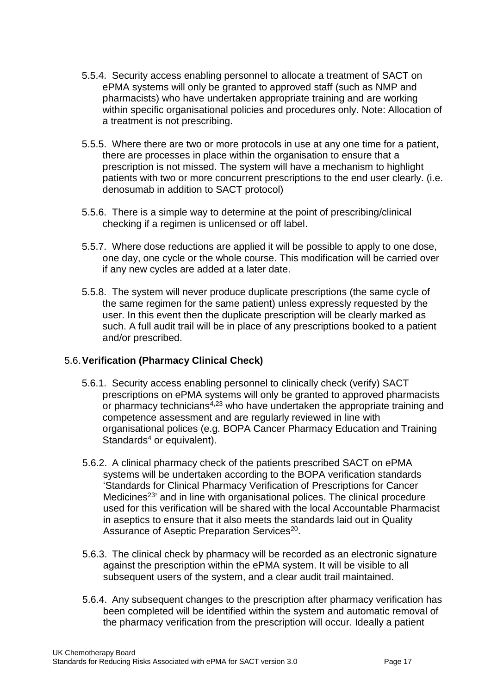- 5.5.4. Security access enabling personnel to allocate a treatment of SACT on ePMA systems will only be granted to approved staff (such as NMP and pharmacists) who have undertaken appropriate training and are working within specific organisational policies and procedures only. Note: Allocation of a treatment is not prescribing.
- 5.5.5. Where there are two or more protocols in use at any one time for a patient, there are processes in place within the organisation to ensure that a prescription is not missed. The system will have a mechanism to highlight patients with two or more concurrent prescriptions to the end user clearly. (i.e. denosumab in addition to SACT protocol)
- 5.5.6. There is a simple way to determine at the point of prescribing/clinical checking if a regimen is unlicensed or off label.
- 5.5.7. Where dose reductions are applied it will be possible to apply to one dose, one day, one cycle or the whole course. This modification will be carried over if any new cycles are added at a later date.
- 5.5.8. The system will never produce duplicate prescriptions (the same cycle of the same regimen for the same patient) unless expressly requested by the user. In this event then the duplicate prescription will be clearly marked as such. A full audit trail will be in place of any prescriptions booked to a patient and/or prescribed.

## 5.6.**Verification (Pharmacy Clinical Check)**

- 5.6.1. Security access enabling personnel to clinically check (verify) SACT prescriptions on ePMA systems will only be granted to approved pharmacists or pharmacy technicians<sup>4,23</sup> who have undertaken the appropriate training and competence assessment and are regularly reviewed in line with organisational polices (e.g. BOPA Cancer Pharmacy Education and Training Standards $4$  or equivalent).
- 5.6.2. A clinical pharmacy check of the patients prescribed SACT on ePMA systems will be undertaken according to the BOPA verification standards 'Standards for Clinical Pharmacy Verification of Prescriptions for Cancer Medicines<sup>23</sup> and in line with organisational polices. The clinical procedure used for this verification will be shared with the local Accountable Pharmacist in aseptics to ensure that it also meets the standards laid out in Quality Assurance of Aseptic Preparation Services<sup>20</sup>.
- 5.6.3. The clinical check by pharmacy will be recorded as an electronic signature against the prescription within the ePMA system. It will be visible to all subsequent users of the system, and a clear audit trail maintained.
- 5.6.4. Any subsequent changes to the prescription after pharmacy verification has been completed will be identified within the system and automatic removal of the pharmacy verification from the prescription will occur. Ideally a patient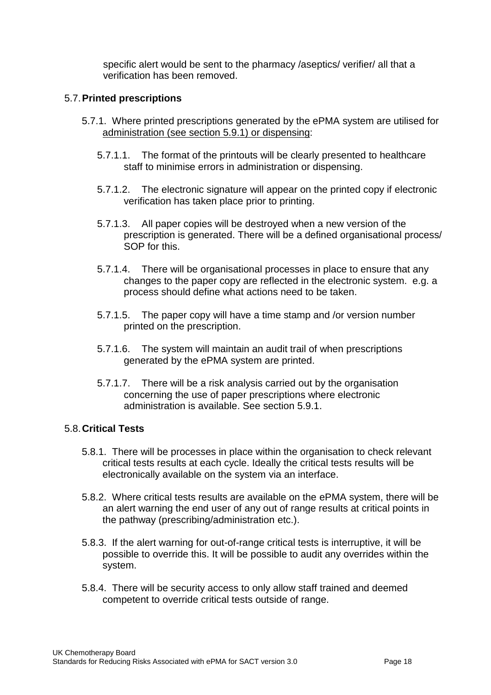specific alert would be sent to the pharmacy /aseptics/ verifier/ all that a verification has been removed.

#### 5.7.**Printed prescriptions**

- 5.7.1. Where printed prescriptions generated by the ePMA system are utilised for administration (see section 5.9.1) or dispensing:
	- 5.7.1.1. The format of the printouts will be clearly presented to healthcare staff to minimise errors in administration or dispensing.
	- 5.7.1.2. The electronic signature will appear on the printed copy if electronic verification has taken place prior to printing.
	- 5.7.1.3. All paper copies will be destroyed when a new version of the prescription is generated. There will be a defined organisational process/ SOP for this.
	- 5.7.1.4. There will be organisational processes in place to ensure that any changes to the paper copy are reflected in the electronic system. e.g. a process should define what actions need to be taken.
	- 5.7.1.5. The paper copy will have a time stamp and /or version number printed on the prescription.
	- 5.7.1.6. The system will maintain an audit trail of when prescriptions generated by the ePMA system are printed.
	- 5.7.1.7. There will be a risk analysis carried out by the organisation concerning the use of paper prescriptions where electronic administration is available. See section 5.9.1.

#### 5.8.**Critical Tests**

- 5.8.1. There will be processes in place within the organisation to check relevant critical tests results at each cycle. Ideally the critical tests results will be electronically available on the system via an interface.
- 5.8.2. Where critical tests results are available on the ePMA system, there will be an alert warning the end user of any out of range results at critical points in the pathway (prescribing/administration etc.).
- 5.8.3. If the alert warning for out-of-range critical tests is interruptive, it will be possible to override this. It will be possible to audit any overrides within the system.
- 5.8.4. There will be security access to only allow staff trained and deemed competent to override critical tests outside of range.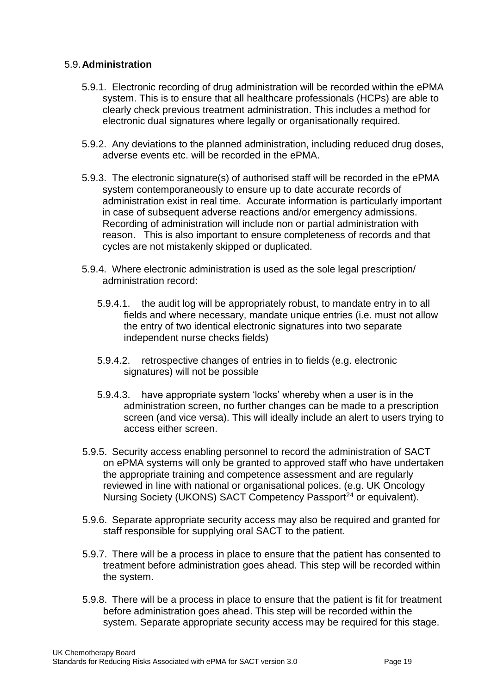#### 5.9.**Administration**

- 5.9.1. Electronic recording of drug administration will be recorded within the ePMA system. This is to ensure that all healthcare professionals (HCPs) are able to clearly check previous treatment administration. This includes a method for electronic dual signatures where legally or organisationally required.
- 5.9.2. Any deviations to the planned administration, including reduced drug doses, adverse events etc. will be recorded in the ePMA.
- 5.9.3. The electronic signature(s) of authorised staff will be recorded in the ePMA system contemporaneously to ensure up to date accurate records of administration exist in real time. Accurate information is particularly important in case of subsequent adverse reactions and/or emergency admissions. Recording of administration will include non or partial administration with reason. This is also important to ensure completeness of records and that cycles are not mistakenly skipped or duplicated.
- 5.9.4. Where electronic administration is used as the sole legal prescription/ administration record:
	- 5.9.4.1. the audit log will be appropriately robust, to mandate entry in to all fields and where necessary, mandate unique entries (i.e. must not allow the entry of two identical electronic signatures into two separate independent nurse checks fields)
	- 5.9.4.2. retrospective changes of entries in to fields (e.g. electronic signatures) will not be possible
	- 5.9.4.3. have appropriate system 'locks' whereby when a user is in the administration screen, no further changes can be made to a prescription screen (and vice versa). This will ideally include an alert to users trying to access either screen.
- 5.9.5. Security access enabling personnel to record the administration of SACT on ePMA systems will only be granted to approved staff who have undertaken the appropriate training and competence assessment and are regularly reviewed in line with national or organisational polices. (e.g. UK Oncology Nursing Society (UKONS) SACT Competency Passport<sup>24</sup> or equivalent).
- 5.9.6. Separate appropriate security access may also be required and granted for staff responsible for supplying oral SACT to the patient.
- 5.9.7. There will be a process in place to ensure that the patient has consented to treatment before administration goes ahead. This step will be recorded within the system.
- 5.9.8. There will be a process in place to ensure that the patient is fit for treatment before administration goes ahead. This step will be recorded within the system. Separate appropriate security access may be required for this stage.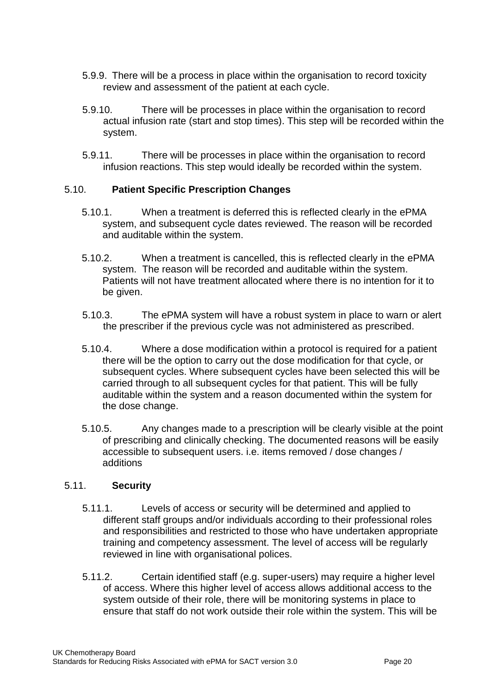- 5.9.9. There will be a process in place within the organisation to record toxicity review and assessment of the patient at each cycle.
- 5.9.10. There will be processes in place within the organisation to record actual infusion rate (start and stop times). This step will be recorded within the system.
- 5.9.11. There will be processes in place within the organisation to record infusion reactions. This step would ideally be recorded within the system.

#### 5.10. **Patient Specific Prescription Changes**

- 5.10.1. When a treatment is deferred this is reflected clearly in the ePMA system, and subsequent cycle dates reviewed. The reason will be recorded and auditable within the system.
- 5.10.2. When a treatment is cancelled, this is reflected clearly in the ePMA system. The reason will be recorded and auditable within the system. Patients will not have treatment allocated where there is no intention for it to be given.
- 5.10.3. The ePMA system will have a robust system in place to warn or alert the prescriber if the previous cycle was not administered as prescribed.
- 5.10.4. Where a dose modification within a protocol is required for a patient there will be the option to carry out the dose modification for that cycle, or subsequent cycles. Where subsequent cycles have been selected this will be carried through to all subsequent cycles for that patient. This will be fully auditable within the system and a reason documented within the system for the dose change.
- 5.10.5. Any changes made to a prescription will be clearly visible at the point of prescribing and clinically checking. The documented reasons will be easily accessible to subsequent users. i.e. items removed / dose changes / additions

#### 5.11. **Security**

- 5.11.1. Levels of access or security will be determined and applied to different staff groups and/or individuals according to their professional roles and responsibilities and restricted to those who have undertaken appropriate training and competency assessment. The level of access will be regularly reviewed in line with organisational polices.
- 5.11.2. Certain identified staff (e.g. super-users) may require a higher level of access. Where this higher level of access allows additional access to the system outside of their role, there will be monitoring systems in place to ensure that staff do not work outside their role within the system. This will be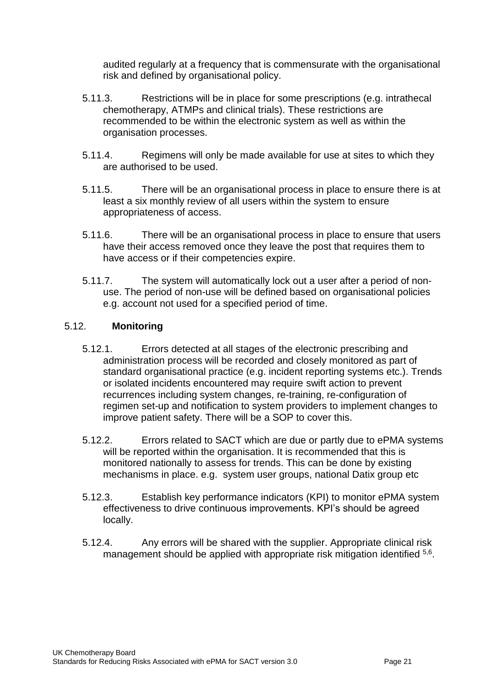audited regularly at a frequency that is commensurate with the organisational risk and defined by organisational policy.

- 5.11.3. Restrictions will be in place for some prescriptions (e.g. intrathecal chemotherapy, ATMPs and clinical trials). These restrictions are recommended to be within the electronic system as well as within the organisation processes.
- 5.11.4. Regimens will only be made available for use at sites to which they are authorised to be used.
- 5.11.5. There will be an organisational process in place to ensure there is at least a six monthly review of all users within the system to ensure appropriateness of access.
- 5.11.6. There will be an organisational process in place to ensure that users have their access removed once they leave the post that requires them to have access or if their competencies expire.
- 5.11.7. The system will automatically lock out a user after a period of nonuse. The period of non-use will be defined based on organisational policies e.g. account not used for a specified period of time.

## 5.12. **Monitoring**

- 5.12.1. Errors detected at all stages of the electronic prescribing and administration process will be recorded and closely monitored as part of standard organisational practice (e.g. incident reporting systems etc.). Trends or isolated incidents encountered may require swift action to prevent recurrences including system changes, re-training, re-configuration of regimen set-up and notification to system providers to implement changes to improve patient safety. There will be a SOP to cover this.
- 5.12.2. Errors related to SACT which are due or partly due to ePMA systems will be reported within the organisation. It is recommended that this is monitored nationally to assess for trends. This can be done by existing mechanisms in place. e.g. system user groups, national Datix group etc
- 5.12.3. Establish key performance indicators (KPI) to monitor ePMA system effectiveness to drive continuous improvements. KPI's should be agreed locally.
- 5.12.4. Any errors will be shared with the supplier. Appropriate clinical risk management should be applied with appropriate risk mitigation identified 5,6.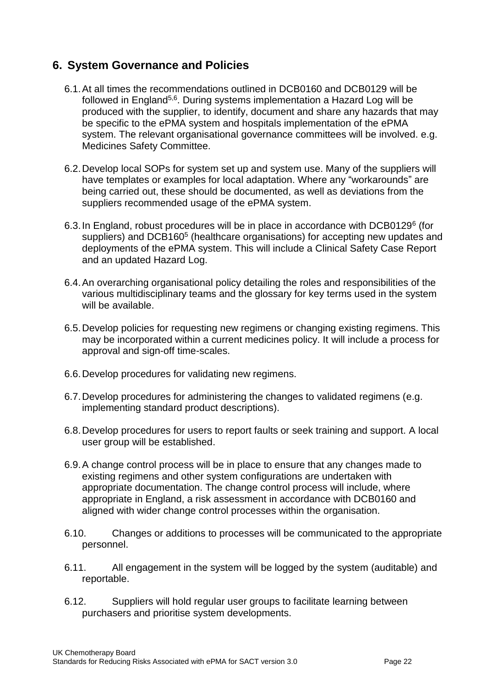# **6. System Governance and Policies**

- 6.1.At all times the recommendations outlined in DCB0160 and DCB0129 will be followed in England<sup>5,6</sup>. During systems implementation a Hazard Log will be produced with the supplier, to identify, document and share any hazards that may be specific to the ePMA system and hospitals implementation of the ePMA system. The relevant organisational governance committees will be involved. e.g. Medicines Safety Committee.
- 6.2.Develop local SOPs for system set up and system use. Many of the suppliers will have templates or examples for local adaptation. Where any "workarounds" are being carried out, these should be documented, as well as deviations from the suppliers recommended usage of the ePMA system.
- 6.3. In England, robust procedures will be in place in accordance with DCB0129<sup>6</sup> (for suppliers) and DCB160<sup>5</sup> (healthcare organisations) for accepting new updates and deployments of the ePMA system. This will include a Clinical Safety Case Report and an updated Hazard Log.
- 6.4.An overarching organisational policy detailing the roles and responsibilities of the various multidisciplinary teams and the glossary for key terms used in the system will be available.
- 6.5.Develop policies for requesting new regimens or changing existing regimens. This may be incorporated within a current medicines policy. It will include a process for approval and sign-off time-scales.
- 6.6.Develop procedures for validating new regimens.
- 6.7.Develop procedures for administering the changes to validated regimens (e.g. implementing standard product descriptions).
- 6.8.Develop procedures for users to report faults or seek training and support. A local user group will be established.
- 6.9.A change control process will be in place to ensure that any changes made to existing regimens and other system configurations are undertaken with appropriate documentation. The change control process will include, where appropriate in England, a risk assessment in accordance with DCB0160 and aligned with wider change control processes within the organisation.
- 6.10. Changes or additions to processes will be communicated to the appropriate personnel.
- 6.11. All engagement in the system will be logged by the system (auditable) and reportable.
- 6.12. Suppliers will hold regular user groups to facilitate learning between purchasers and prioritise system developments.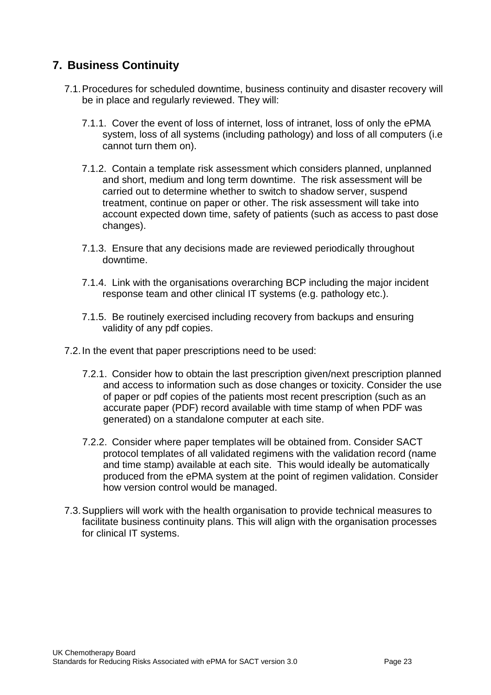# **7. Business Continuity**

- 7.1.Procedures for scheduled downtime, business continuity and disaster recovery will be in place and regularly reviewed. They will:
	- 7.1.1. Cover the event of loss of internet, loss of intranet, loss of only the ePMA system, loss of all systems (including pathology) and loss of all computers (i.e cannot turn them on).
	- 7.1.2. Contain a template risk assessment which considers planned, unplanned and short, medium and long term downtime. The risk assessment will be carried out to determine whether to switch to shadow server, suspend treatment, continue on paper or other. The risk assessment will take into account expected down time, safety of patients (such as access to past dose changes).
	- 7.1.3. Ensure that any decisions made are reviewed periodically throughout downtime.
	- 7.1.4. Link with the organisations overarching BCP including the major incident response team and other clinical IT systems (e.g. pathology etc.).
	- 7.1.5. Be routinely exercised including recovery from backups and ensuring validity of any pdf copies.
- 7.2.In the event that paper prescriptions need to be used:
	- 7.2.1. Consider how to obtain the last prescription given/next prescription planned and access to information such as dose changes or toxicity. Consider the use of paper or pdf copies of the patients most recent prescription (such as an accurate paper (PDF) record available with time stamp of when PDF was generated) on a standalone computer at each site.
	- 7.2.2. Consider where paper templates will be obtained from. Consider SACT protocol templates of all validated regimens with the validation record (name and time stamp) available at each site. This would ideally be automatically produced from the ePMA system at the point of regimen validation. Consider how version control would be managed.
- 7.3.Suppliers will work with the health organisation to provide technical measures to facilitate business continuity plans. This will align with the organisation processes for clinical IT systems.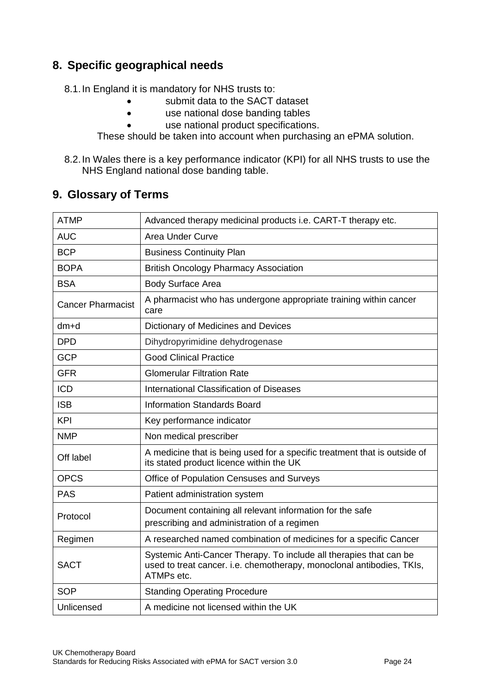# **8. Specific geographical needs**

8.1.In England it is mandatory for NHS trusts to:

- submit data to the SACT dataset
- use national dose banding tables
- use national product specifications.

These should be taken into account when purchasing an ePMA solution.

8.2.In Wales there is a key performance indicator (KPI) for all NHS trusts to use the NHS England national dose banding table.

# <span id="page-24-0"></span>**9. Glossary of Terms**

| <b>ATMP</b>              | Advanced therapy medicinal products i.e. CART-T therapy etc.                                                                                              |  |  |  |  |
|--------------------------|-----------------------------------------------------------------------------------------------------------------------------------------------------------|--|--|--|--|
| <b>AUC</b>               | <b>Area Under Curve</b>                                                                                                                                   |  |  |  |  |
| <b>BCP</b>               | <b>Business Continuity Plan</b>                                                                                                                           |  |  |  |  |
| <b>BOPA</b>              | <b>British Oncology Pharmacy Association</b>                                                                                                              |  |  |  |  |
| <b>BSA</b>               | <b>Body Surface Area</b>                                                                                                                                  |  |  |  |  |
| <b>Cancer Pharmacist</b> | A pharmacist who has undergone appropriate training within cancer<br>care                                                                                 |  |  |  |  |
| $dm+d$                   | Dictionary of Medicines and Devices                                                                                                                       |  |  |  |  |
| <b>DPD</b>               | Dihydropyrimidine dehydrogenase                                                                                                                           |  |  |  |  |
| <b>GCP</b>               | <b>Good Clinical Practice</b>                                                                                                                             |  |  |  |  |
| <b>GFR</b>               | <b>Glomerular Filtration Rate</b>                                                                                                                         |  |  |  |  |
| <b>ICD</b>               | International Classification of Diseases                                                                                                                  |  |  |  |  |
| <b>ISB</b>               | <b>Information Standards Board</b>                                                                                                                        |  |  |  |  |
| <b>KPI</b>               | Key performance indicator                                                                                                                                 |  |  |  |  |
| <b>NMP</b>               | Non medical prescriber                                                                                                                                    |  |  |  |  |
| Off label                | A medicine that is being used for a specific treatment that is outside of<br>its stated product licence within the UK                                     |  |  |  |  |
| <b>OPCS</b>              | Office of Population Censuses and Surveys                                                                                                                 |  |  |  |  |
| <b>PAS</b>               | Patient administration system                                                                                                                             |  |  |  |  |
| Protocol                 | Document containing all relevant information for the safe<br>prescribing and administration of a regimen                                                  |  |  |  |  |
| Regimen                  | A researched named combination of medicines for a specific Cancer                                                                                         |  |  |  |  |
| <b>SACT</b>              | Systemic Anti-Cancer Therapy. To include all therapies that can be<br>used to treat cancer. i.e. chemotherapy, monoclonal antibodies, TKIs,<br>ATMPs etc. |  |  |  |  |
| <b>SOP</b>               | <b>Standing Operating Procedure</b>                                                                                                                       |  |  |  |  |
| Unlicensed               | A medicine not licensed within the UK                                                                                                                     |  |  |  |  |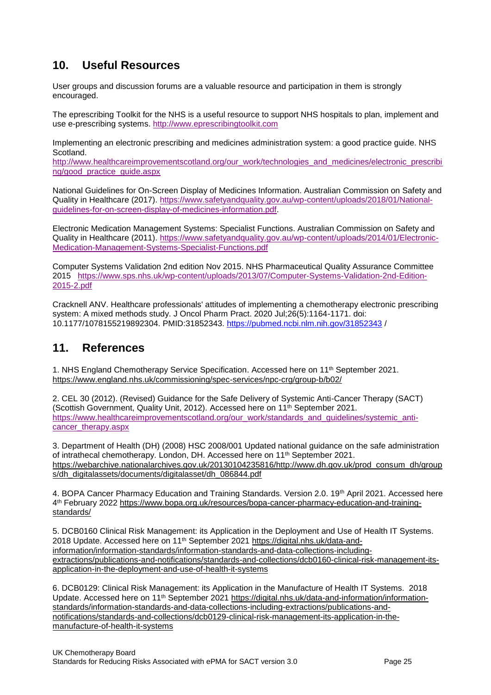# <span id="page-25-0"></span>**10. Useful Resources**

User groups and discussion forums are a valuable resource and participation in them is strongly encouraged.

The eprescribing Toolkit for the NHS is a useful resource to support NHS hospitals to plan, implement and use e-prescribing systems. [http://www.eprescribingtoolkit.com](http://www.eprescribingtoolkit.com/) 

Implementing an electronic prescribing and medicines administration system: a good practice guide. NHS Scotland.

[http://www.healthcareimprovementscotland.org/our\\_work/technologies\\_and\\_medicines/electronic\\_prescribi](http://www.healthcareimprovementscotland.org/our_work/technologies_and_medicines/electronic_prescribing/good_practice_guide.aspx) [ng/good\\_practice\\_guide.aspx](http://www.healthcareimprovementscotland.org/our_work/technologies_and_medicines/electronic_prescribing/good_practice_guide.aspx) 

National Guidelines for On-Screen Display of Medicines Information. Australian Commission on Safety and Quality in Healthcare (2017). [https://www.safetyandquality.gov.au/wp-content/uploads/2018/01/National](https://www.safetyandquality.gov.au/wp-content/uploads/2018/01/National-guidelines-for-on-screen-display-of-medicines-information.pdf)[guidelines-for-on-screen-display-of-medicines-information.pdf.](https://www.safetyandquality.gov.au/wp-content/uploads/2018/01/National-guidelines-for-on-screen-display-of-medicines-information.pdf)

Electronic Medication Management Systems: Specialist Functions. Australian Commission on Safety and Quality in Healthcare (2011). [https://www.safetyandquality.gov.au/wp-content/uploads/2014/01/Electronic-](https://www.safetyandquality.gov.au/wp-content/uploads/2014/01/Electronic-Medication-Management-Systems-Specialist-Functions.pdf)[Medication-Management-Systems-Specialist-Functions.pdf](https://www.safetyandquality.gov.au/wp-content/uploads/2014/01/Electronic-Medication-Management-Systems-Specialist-Functions.pdf)

Computer Systems Validation 2nd edition Nov 2015. NHS Pharmaceutical Quality Assurance Committee 2015 [https://www.sps.nhs.uk/wp-content/uploads/2013/07/Computer-Systems-Validation-2nd-Edition-](https://www.sps.nhs.uk/wp-content/uploads/2013/07/Computer-Systems-Validation-2nd-Edition-2015-2.pdf)[2015-2.pdf](https://www.sps.nhs.uk/wp-content/uploads/2013/07/Computer-Systems-Validation-2nd-Edition-2015-2.pdf) 

Cracknell ANV. Healthcare professionals' attitudes of implementing a chemotherapy electronic prescribing system: A mixed methods study. J Oncol Pharm Pract. 2020 Jul;26(5):1164-1171. doi: 10.1177/1078155219892304. PMID:31852343.<https://pubmed.ncbi.nlm.nih.gov/31852343> /

## <span id="page-25-1"></span>**11. References**

1. NHS England Chemotherapy Service Specification. Accessed here on 11th September 2021. <https://www.england.nhs.uk/commissioning/spec-services/npc-crg/group-b/b02/>

2. CEL 30 (2012). (Revised) Guidance for the Safe Delivery of Systemic Anti-Cancer Therapy (SACT) (Scottish Government, Quality Unit, 2012). Accessed here on 11th September 2021. [https://www.healthcareimprovementscotland.org/our\\_work/standards\\_and\\_guidelines/systemic\\_anti](https://www.healthcareimprovementscotland.org/our_work/standards_and_guidelines/systemic_anti-cancer_therapy.aspx)[cancer\\_therapy.aspx](https://www.healthcareimprovementscotland.org/our_work/standards_and_guidelines/systemic_anti-cancer_therapy.aspx)

3. Department of Health (DH) (2008) HSC 2008/001 Updated national guidance on the safe administration of intrathecal chemotherapy. London, DH. Accessed here on 11th September 2021. [https://webarchive.nationalarchives.gov.uk/20130104235816/http://www.dh.gov.uk/prod\\_consum\\_dh/group](https://webarchive.nationalarchives.gov.uk/20130104235816/http:/www.dh.gov.uk/prod_consum_dh/groups/dh_digitalassets/documents/digitalasset/dh_086844.pdf) [s/dh\\_digitalassets/documents/digitalasset/dh\\_086844.pdf](https://webarchive.nationalarchives.gov.uk/20130104235816/http:/www.dh.gov.uk/prod_consum_dh/groups/dh_digitalassets/documents/digitalasset/dh_086844.pdf)

4. BOPA Cancer Pharmacy Education and Training Standards. Version 2.0. 19th April 2021. Accessed here 4 th February 2022 [https://www.bopa.org.uk/resources/bopa-cancer-pharmacy-education-and-training](https://www.bopa.org.uk/resources/bopa-cancer-pharmacy-education-and-training-standards/)[standards/](https://www.bopa.org.uk/resources/bopa-cancer-pharmacy-education-and-training-standards/)

5. DCB0160 Clinical Risk Management: its Application in the Deployment and Use of Health IT Systems. 2018 Update. Accessed here on 11th September 2021 [https://digital.nhs.uk/data-and](https://digital.nhs.uk/data-and-information/information-standards/information-standards-and-data-collections-including-extractions/publications-and-notifications/standards-and-collections/dcb0160-clinical-risk-management-its-application-in-the-deployment-and-use-of-health-it-systems)[information/information-standards/information-standards-and-data-collections-including](https://digital.nhs.uk/data-and-information/information-standards/information-standards-and-data-collections-including-extractions/publications-and-notifications/standards-and-collections/dcb0160-clinical-risk-management-its-application-in-the-deployment-and-use-of-health-it-systems)[extractions/publications-and-notifications/standards-and-collections/dcb0160-clinical-risk-management-its](https://digital.nhs.uk/data-and-information/information-standards/information-standards-and-data-collections-including-extractions/publications-and-notifications/standards-and-collections/dcb0160-clinical-risk-management-its-application-in-the-deployment-and-use-of-health-it-systems)[application-in-the-deployment-and-use-of-health-it-systems](https://digital.nhs.uk/data-and-information/information-standards/information-standards-and-data-collections-including-extractions/publications-and-notifications/standards-and-collections/dcb0160-clinical-risk-management-its-application-in-the-deployment-and-use-of-health-it-systems)

6. DCB0129: Clinical Risk Management: its Application in the Manufacture of Health IT Systems. 2018 Update. Accessed here on 11th September 2021 [https://digital.nhs.uk/data-and-information/information](https://digital.nhs.uk/data-and-information/information-standards/information-standards-and-data-collections-including-extractions/publications-and-notifications/standards-and-collections/dcb0129-clinical-risk-management-its-application-in-the-manufacture-of-health-it-systems)[standards/information-standards-and-data-collections-including-extractions/publications-and](https://digital.nhs.uk/data-and-information/information-standards/information-standards-and-data-collections-including-extractions/publications-and-notifications/standards-and-collections/dcb0129-clinical-risk-management-its-application-in-the-manufacture-of-health-it-systems)[notifications/standards-and-collections/dcb0129-clinical-risk-management-its-application-in-the](https://digital.nhs.uk/data-and-information/information-standards/information-standards-and-data-collections-including-extractions/publications-and-notifications/standards-and-collections/dcb0129-clinical-risk-management-its-application-in-the-manufacture-of-health-it-systems)[manufacture-of-health-it-systems](https://digital.nhs.uk/data-and-information/information-standards/information-standards-and-data-collections-including-extractions/publications-and-notifications/standards-and-collections/dcb0129-clinical-risk-management-its-application-in-the-manufacture-of-health-it-systems)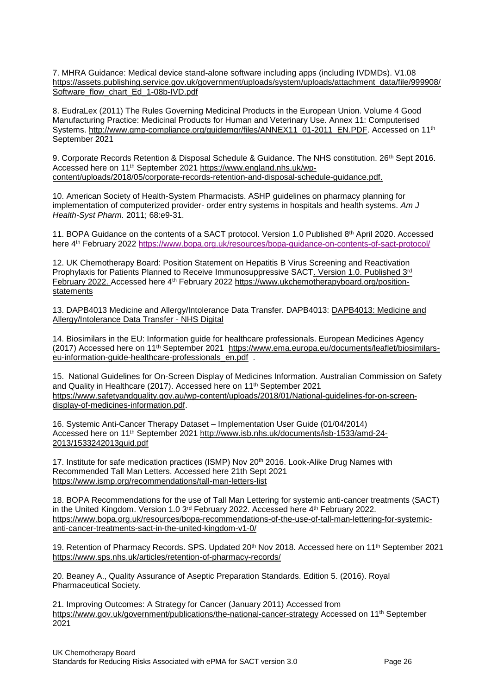7. MHRA Guidance: Medical device stand-alone software including apps (including IVDMDs). V1.08 [https://assets.publishing.service.gov.uk/government/uploads/system/uploads/attachment\\_data/file/999908/](https://assets.publishing.service.gov.uk/government/uploads/system/uploads/attachment_data/file/999908/Software_flow_chart_Ed_1-08b-IVD.pdf) [Software\\_flow\\_chart\\_Ed\\_1-08b-IVD.pdf](https://assets.publishing.service.gov.uk/government/uploads/system/uploads/attachment_data/file/999908/Software_flow_chart_Ed_1-08b-IVD.pdf)

8. EudraLex (2011) The Rules Governing Medicinal Products in the European Union. Volume 4 Good Manufacturing Practice: Medicinal Products for Human and Veterinary Use. Annex 11: Computerised Systems. [http://www.gmp-compliance.org/guidemgr/files/ANNEX11\\_01-2011\\_EN.PDF.](http://www.gmp-compliance.org/guidemgr/files/ANNEX11_01-2011_EN.PDF) Accessed on 11<sup>th</sup> September 2021

9. Corporate Records Retention & Disposal Schedule & Guidance. The NHS constitution. 26<sup>th</sup> Sept 2016. Accessed here on 11th September 2021 [https://www.england.nhs.uk/wp](https://www.england.nhs.uk/wp-content/uploads/2018/05/corporate-records-retention-and-disposal-schedule-guidance.pdf)[content/uploads/2018/05/corporate-records-retention-and-disposal-schedule-guidance.pdf.](https://www.england.nhs.uk/wp-content/uploads/2018/05/corporate-records-retention-and-disposal-schedule-guidance.pdf)

10. American Society of Health-System Pharmacists. ASHP guidelines on pharmacy planning for implementation of computerized provider- order entry systems in hospitals and health systems. *Am J Health-Syst Pharm.* 2011; 68:e9-31.

11. BOPA Guidance on the contents of a SACT protocol. Version 1.0 Published 8 th April 2020. Accessed here 4th February 2022<https://www.bopa.org.uk/resources/bopa-guidance-on-contents-of-sact-protocol/>

12. UK Chemotherapy Board: Position Statement on Hepatitis B Virus Screening and Reactivation Prophylaxis for Patients Planned to Receive Immunosuppressive SACT. Version 1.0. Published 3rd February 2022. Accessed here 4th February 2022 https://www.ukchemotherapyboard.org/positionstatements

13. DAPB4013 Medicine and Allergy/Intolerance Data Transfer. DAPB4013: [DAPB4013: Medicine and](https://digital.nhs.uk/data-and-information/information-standards/information-standards-and-data-collections-including-extractions/publications-and-notifications/standards-and-collections/dapb4013-medicine-and-allergy-intolerance-data-transfer)  [Allergy/Intolerance Data Transfer -](https://digital.nhs.uk/data-and-information/information-standards/information-standards-and-data-collections-including-extractions/publications-and-notifications/standards-and-collections/dapb4013-medicine-and-allergy-intolerance-data-transfer) NHS Digital

14. Biosimilars in the EU: Information guide for healthcare professionals. European Medicines Agency (2017) Accessed here on 11th September 2021 [https://www.ema.europa.eu/documents/leaflet/biosimilars](https://www.ema.europa.eu/documents/leaflet/biosimilars-eu-information-guide-healthcare-professionals_en.pdf)[eu-information-guide-healthcare-professionals\\_en.pdf](https://www.ema.europa.eu/documents/leaflet/biosimilars-eu-information-guide-healthcare-professionals_en.pdf).

15. National Guidelines for On-Screen Display of Medicines Information. Australian Commission on Safety and Quality in Healthcare (2017). Accessed here on 11th September 2021 [https://www.safetyandquality.gov.au/wp-content/uploads/2018/01/National-guidelines-for-on-screen](https://www.safetyandquality.gov.au/wp-content/uploads/2018/01/National-guidelines-for-on-screen-display-of-medicines-information.pdf)[display-of-medicines-information.pdf.](https://www.safetyandquality.gov.au/wp-content/uploads/2018/01/National-guidelines-for-on-screen-display-of-medicines-information.pdf)

16. Systemic Anti-Cancer Therapy Dataset – Implementation User Guide (01/04/2014) Accessed here on 11th September 2021 [http://www.isb.nhs.uk/documents/isb-1533/amd-24-](http://www.isb.nhs.uk/documents/isb-1533/amd-24-2013/1533242013guid.pdf) [2013/1533242013guid.pdf](http://www.isb.nhs.uk/documents/isb-1533/amd-24-2013/1533242013guid.pdf)

17. Institute for safe medication practices (ISMP) Nov 20<sup>th</sup> 2016. Look-Alike Drug Names with Recommended Tall Man Letters. Accessed here 21th Sept 2021 <https://www.ismp.org/recommendations/tall-man-letters-list>

18. BOPA Recommendations for the use of Tall Man Lettering for systemic anti-cancer treatments (SACT) in the United Kingdom. Version 1.0  $3<sup>rd</sup>$  February 2022. Accessed here  $4<sup>th</sup>$  February 2022. [https://www.bopa.org.uk/resources/bopa-recommendations-of-the-use-of-tall-man-lettering-for-systemic](https://www.bopa.org.uk/resources/bopa-recommendations-of-the-use-of-tall-man-lettering-for-systemic-anti-cancer-treatments-sact-in-the-united-kingdom-v1-0/)[anti-cancer-treatments-sact-in-the-united-kingdom-v1-0/](https://www.bopa.org.uk/resources/bopa-recommendations-of-the-use-of-tall-man-lettering-for-systemic-anti-cancer-treatments-sact-in-the-united-kingdom-v1-0/)

19. [Retention](https://www.sps.nhs.uk/articles/retention-of-pharmacy-records/) of Pharmacy Records. SPS. Updated 20<sup>th</sup> Nov 2018. Accessed here on 11<sup>th</sup> September 2021 <https://www.sps.nhs.uk/articles/retention-of-pharmacy-records/>

20. Beaney A., Quality Assurance of Aseptic Preparation Standards. Edition 5. (2016). Royal Pharmaceutical Society.

21. Improving Outcomes: A Strategy for Cancer (January 2011) Accessed from <https://www.gov.uk/government/publications/the-national-cancer-strategy> Accessed on 11<sup>th</sup> September 2021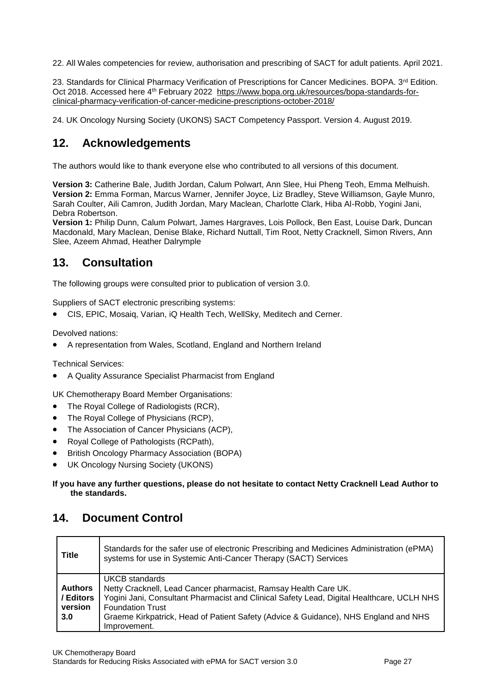22. All Wales competencies for review, authorisation and prescribing of SACT for adult patients. April 2021.

23. Standards for Clinical Pharmacy Verification of Prescriptions for Cancer Medicines. BOPA. 3<sup>rd</sup> Edition. Oct 2018. Accessed here 4<sup>th</sup> February 2022 [https://www.bopa.org.uk/resources/bopa-standards-for](https://www.bopa.org.uk/resources/bopa-standards-for-clinical-pharmacy-verification-of-cancer-medicine-prescriptions-october-2018/)[clinical-pharmacy-verification-of-cancer-medicine-prescriptions-october-2018/](https://www.bopa.org.uk/resources/bopa-standards-for-clinical-pharmacy-verification-of-cancer-medicine-prescriptions-october-2018/)

24. UK Oncology Nursing Society (UKONS) SACT Competency Passport. Version 4. August 2019.

# <span id="page-27-0"></span>**12. Acknowledgements**

The authors would like to thank everyone else who contributed to all versions of this document.

**Version 3:** Catherine Bale, Judith Jordan, Calum Polwart, Ann Slee, Hui Pheng Teoh, Emma Melhuish. **Version 2:** Emma Forman, Marcus Warner, Jennifer Joyce, Liz Bradley, Steve Williamson, Gayle Munro, Sarah Coulter, Aili Camron, Judith Jordan, Mary Maclean, Charlotte Clark, Hiba Al-Robb, Yogini Jani, Debra Robertson.

**Version 1:** Philip Dunn, Calum Polwart, James Hargraves, Lois Pollock, Ben East, Louise Dark, Duncan Macdonald, Mary Maclean, Denise Blake, Richard Nuttall, Tim Root, Netty Cracknell, Simon Rivers, Ann Slee, Azeem Ahmad, Heather Dalrymple

## <span id="page-27-1"></span>**13. Consultation**

The following groups were consulted prior to publication of version 3.0.

Suppliers of SACT electronic prescribing systems:

CIS, EPIC, Mosaiq, Varian, iQ Health Tech, WellSky, Meditech and Cerner.

Devolved nations:

A representation from Wales, Scotland, England and Northern Ireland

Technical Services:

A Quality Assurance Specialist Pharmacist from England

UK Chemotherapy Board Member Organisations:

- The Royal College of Radiologists (RCR).
- The Royal College of Physicians (RCP),
- The Association of Cancer Physicians (ACP),
- Royal College of Pathologists (RCPath),
- British Oncology Pharmacy Association (BOPA)
- UK Oncology Nursing Society (UKONS)

#### **If you have any further questions, please do not hesitate to contact Netty Cracknell Lead Author to the standards.**

## <span id="page-27-2"></span>**14. Document Control**

| <b>Title</b>                                  | Standards for the safer use of electronic Prescribing and Medicines Administration (ePMA)<br>systems for use in Systemic Anti-Cancer Therapy (SACT) Services                                                                                                                                                     |
|-----------------------------------------------|------------------------------------------------------------------------------------------------------------------------------------------------------------------------------------------------------------------------------------------------------------------------------------------------------------------|
| <b>Authors</b><br>/ Editors<br>version<br>3.0 | UKCB standards<br>Netty Cracknell, Lead Cancer pharmacist, Ramsay Health Care UK.<br>Yogini Jani, Consultant Pharmacist and Clinical Safety Lead, Digital Healthcare, UCLH NHS<br><b>Foundation Trust</b><br>Graeme Kirkpatrick, Head of Patient Safety (Advice & Guidance), NHS England and NHS<br>Improvement. |